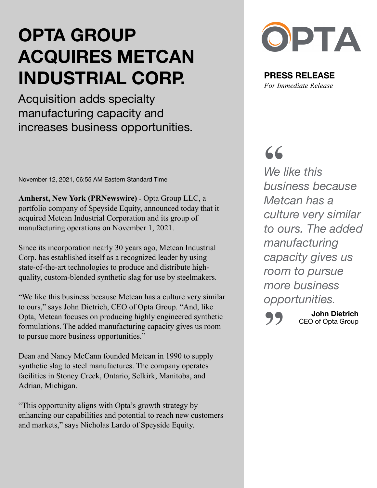## **OPTA GROUP ACQUIRES METCAN INDUSTRIAL CORP.**

Acquisition adds specialty manufacturing capacity and increases business opportunities.

November 12, 2021, 06:55 AM Eastern Standard Time

**Amherst, New York (PRNewswire) -** Opta Group LLC, a portfolio company of Speyside Equity, announced today that it acquired Metcan Industrial Corporation and its group of manufacturing operations on November 1, 2021.

Since its incorporation nearly 30 years ago, Metcan Industrial Corp. has established itself as a recognized leader by using state-of-the-art technologies to produce and distribute highquality, custom-blended synthetic slag for use by steelmakers.

"We like this business because Metcan has a culture very similar to ours," says John Dietrich, CEO of Opta Group. "And, like Opta, Metcan focuses on producing highly engineered synthetic formulations. The added manufacturing capacity gives us room to pursue more business opportunities."

Dean and Nancy McCann founded Metcan in 1990 to supply synthetic slag to steel manufactures. The company operates facilities in Stoney Creek, Ontario, Selkirk, Manitoba, and Adrian, Michigan.

"This opportunity aligns with Opta's growth strategy by enhancing our capabilities and potential to reach new customers and markets," says Nicholas Lardo of Speyside Equity.



**PRESS RELEASE**  *For Immediate Release*

**"**

*We like this business because Metcan has a culture very similar to ours. The added manufacturing capacity gives us room to pursue more business opportunities.*

**100 John Dietrich**<br>CEO of Opta Group CEO of Opta Group